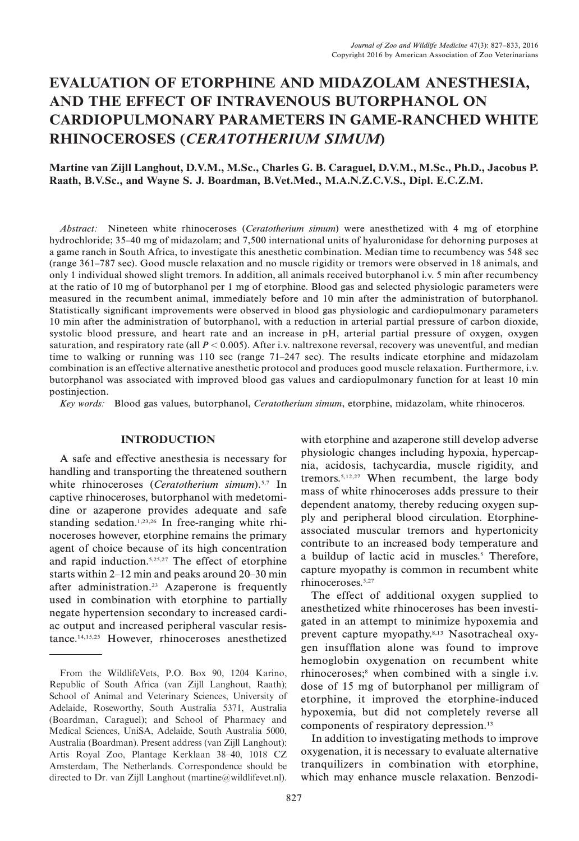# EVALUATION OF ETORPHINE AND MIDAZOLAM ANESTHESIA, AND THE EFFECT OF INTRAVENOUS BUTORPHANOL ON CARDIOPULMONARY PARAMETERS IN GAME-RANCHED WHITE RHINOCEROSES (CERATOTHERIUM SIMUM)

### Martine van Zijll Langhout, D.V.M., M.Sc., Charles G. B. Caraguel, D.V.M., M.Sc., Ph.D., Jacobus P. Raath, B.V.Sc., and Wayne S. J. Boardman, B.Vet.Med., M.A.N.Z.C.V.S., Dipl. E.C.Z.M.

Abstract: Nineteen white rhinoceroses (Ceratotherium simum) were anesthetized with 4 mg of etorphine hydrochloride; 35–40 mg of midazolam; and 7,500 international units of hyaluronidase for dehorning purposes at a game ranch in South Africa, to investigate this anesthetic combination. Median time to recumbency was 548 sec (range 361–787 sec). Good muscle relaxation and no muscle rigidity or tremors were observed in 18 animals, and only 1 individual showed slight tremors. In addition, all animals received butorphanol i.v. 5 min after recumbency at the ratio of 10 mg of butorphanol per 1 mg of etorphine. Blood gas and selected physiologic parameters were measured in the recumbent animal, immediately before and 10 min after the administration of butorphanol. Statistically significant improvements were observed in blood gas physiologic and cardiopulmonary parameters 10 min after the administration of butorphanol, with a reduction in arterial partial pressure of carbon dioxide, systolic blood pressure, and heart rate and an increase in pH, arterial partial pressure of oxygen, oxygen saturation, and respiratory rate (all  $P < 0.005$ ). After i.v. naltrexone reversal, recovery was uneventful, and median time to walking or running was 110 sec (range 71–247 sec). The results indicate etorphine and midazolam combination is an effective alternative anesthetic protocol and produces good muscle relaxation. Furthermore, i.v. butorphanol was associated with improved blood gas values and cardiopulmonary function for at least 10 min postinjection.

Key words: Blood gas values, butorphanol, Ceratotherium simum, etorphine, midazolam, white rhinoceros.

#### INTRODUCTION

A safe and effective anesthesia is necessary for handling and transporting the threatened southern white rhinoceroses (Ceratotherium simum).<sup>5,7</sup> In captive rhinoceroses, butorphanol with medetomidine or azaperone provides adequate and safe standing sedation.<sup>1,23,26</sup> In free-ranging white rhinoceroses however, etorphine remains the primary agent of choice because of its high concentration and rapid induction.5,25,27 The effect of etorphine starts within 2–12 min and peaks around 20–30 min after administration.23 Azaperone is frequently used in combination with etorphine to partially negate hypertension secondary to increased cardiac output and increased peripheral vascular resistance.14,15,25 However, rhinoceroses anesthetized with etorphine and azaperone still develop adverse physiologic changes including hypoxia, hypercapnia, acidosis, tachycardia, muscle rigidity, and tremors.5,12,27 When recumbent, the large body mass of white rhinoceroses adds pressure to their dependent anatomy, thereby reducing oxygen supply and peripheral blood circulation. Etorphineassociated muscular tremors and hypertonicity contribute to an increased body temperature and a buildup of lactic acid in muscles.<sup>5</sup> Therefore, capture myopathy is common in recumbent white rhinoceroses.5,27

The effect of additional oxygen supplied to anesthetized white rhinoceroses has been investigated in an attempt to minimize hypoxemia and prevent capture myopathy.8,13 Nasotracheal oxygen insufflation alone was found to improve hemoglobin oxygenation on recumbent white rhinoceroses;<sup>8</sup> when combined with a single i.v. dose of 15 mg of butorphanol per milligram of etorphine, it improved the etorphine-induced hypoxemia, but did not completely reverse all components of respiratory depression.13

In addition to investigating methods to improve oxygenation, it is necessary to evaluate alternative tranquilizers in combination with etorphine, which may enhance muscle relaxation. Benzodi-

From the WildlifeVets, P.O. Box 90, 1204 Karino, Republic of South Africa (van Zijll Langhout, Raath); School of Animal and Veterinary Sciences, University of Adelaide, Roseworthy, South Australia 5371, Australia (Boardman, Caraguel); and School of Pharmacy and Medical Sciences, UniSA, Adelaide, South Australia 5000, Australia (Boardman). Present address (van Zijll Langhout): Artis Royal Zoo, Plantage Kerklaan 38–40, 1018 CZ Amsterdam, The Netherlands. Correspondence should be directed to Dr. van Zijll Langhout (martine@wildlifevet.nl).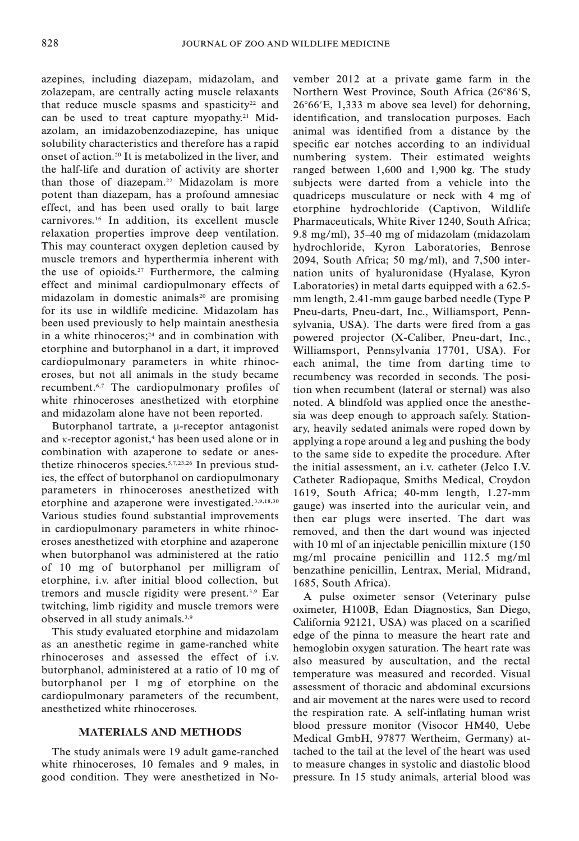azepines, including diazepam, midazolam, and zolazepam, are centrally acting muscle relaxants that reduce muscle spasms and spasticity<sup>22</sup> and can be used to treat capture myopathy.<sup>21</sup> Midazolam, an imidazobenzodiazepine, has unique solubility characteristics and therefore has a rapid onset of action.20 It is metabolized in the liver, and the half-life and duration of activity are shorter than those of diazepam.22 Midazolam is more potent than diazepam, has a profound amnesiac effect, and has been used orally to bait large carnivores.16 In addition, its excellent muscle relaxation properties improve deep ventilation. This may counteract oxygen depletion caused by muscle tremors and hyperthermia inherent with the use of opioids.27 Furthermore, the calming effect and minimal cardiopulmonary effects of midazolam in domestic animals<sup>20</sup> are promising for its use in wildlife medicine. Midazolam has been used previously to help maintain anesthesia in a white rhinoceros; $24$  and in combination with etorphine and butorphanol in a dart, it improved cardiopulmonary parameters in white rhinoceroses, but not all animals in the study became recumbent.6,7 The cardiopulmonary profiles of white rhinoceroses anesthetized with etorphine and midazolam alone have not been reported.

Butorphanol tartrate, a  $\mu$ -receptor antagonist and  $\kappa$ -receptor agonist,<sup>4</sup> has been used alone or in combination with azaperone to sedate or anesthetize rhinoceros species.5,7,23,26 In previous studies, the effect of butorphanol on cardiopulmonary parameters in rhinoceroses anesthetized with etorphine and azaperone were investigated.3,9,18,30 Various studies found substantial improvements in cardiopulmonary parameters in white rhinoceroses anesthetized with etorphine and azaperone when butorphanol was administered at the ratio of 10 mg of butorphanol per milligram of etorphine, i.v. after initial blood collection, but tremors and muscle rigidity were present.3,9 Ear twitching, limb rigidity and muscle tremors were observed in all study animals.3,9

This study evaluated etorphine and midazolam as an anesthetic regime in game-ranched white rhinoceroses and assessed the effect of i.v. butorphanol, administered at a ratio of 10 mg of butorphanol per 1 mg of etorphine on the cardiopulmonary parameters of the recumbent, anesthetized white rhinoceroses.

### MATERIALS AND METHODS

The study animals were 19 adult game-ranched white rhinoceroses, 10 females and 9 males, in good condition. They were anesthetized in November 2012 at a private game farm in the Northern West Province, South Africa (26°86'S,  $26^{\circ}66^{\prime}$ E, 1,333 m above sea level) for dehorning, identification, and translocation purposes. Each animal was identified from a distance by the specific ear notches according to an individual numbering system. Their estimated weights ranged between 1,600 and 1,900 kg. The study subjects were darted from a vehicle into the quadriceps musculature or neck with 4 mg of etorphine hydrochloride (Captivon, Wildlife Pharmaceuticals, White River 1240, South Africa; 9.8 mg/ml), 35–40 mg of midazolam (midazolam hydrochloride, Kyron Laboratories, Benrose 2094, South Africa; 50 mg/ml), and 7,500 internation units of hyaluronidase (Hyalase, Kyron Laboratories) in metal darts equipped with a 62.5 mm length, 2.41-mm gauge barbed needle (Type P Pneu-darts, Pneu-dart, Inc., Williamsport, Pennsylvania, USA). The darts were fired from a gas powered projector (X-Caliber, Pneu-dart, Inc., Williamsport, Pennsylvania 17701, USA). For each animal, the time from darting time to recumbency was recorded in seconds. The position when recumbent (lateral or sternal) was also noted. A blindfold was applied once the anesthesia was deep enough to approach safely. Stationary, heavily sedated animals were roped down by applying a rope around a leg and pushing the body to the same side to expedite the procedure. After the initial assessment, an i.v. catheter (Jelco I.V. Catheter Radiopaque, Smiths Medical, Croydon 1619, South Africa; 40-mm length, 1.27-mm gauge) was inserted into the auricular vein, and then ear plugs were inserted. The dart was removed, and then the dart wound was injected with 10 ml of an injectable penicillin mixture (150 mg/ml procaine penicillin and 112.5 mg/ml benzathine penicillin, Lentrax, Merial, Midrand, 1685, South Africa).

A pulse oximeter sensor (Veterinary pulse oximeter, H100B, Edan Diagnostics, San Diego, California 92121, USA) was placed on a scarified edge of the pinna to measure the heart rate and hemoglobin oxygen saturation. The heart rate was also measured by auscultation, and the rectal temperature was measured and recorded. Visual assessment of thoracic and abdominal excursions and air movement at the nares were used to record the respiration rate. A self-inflating human wrist blood pressure monitor (Visocor HM40, Uebe Medical GmbH, 97877 Wertheim, Germany) attached to the tail at the level of the heart was used to measure changes in systolic and diastolic blood pressure. In 15 study animals, arterial blood was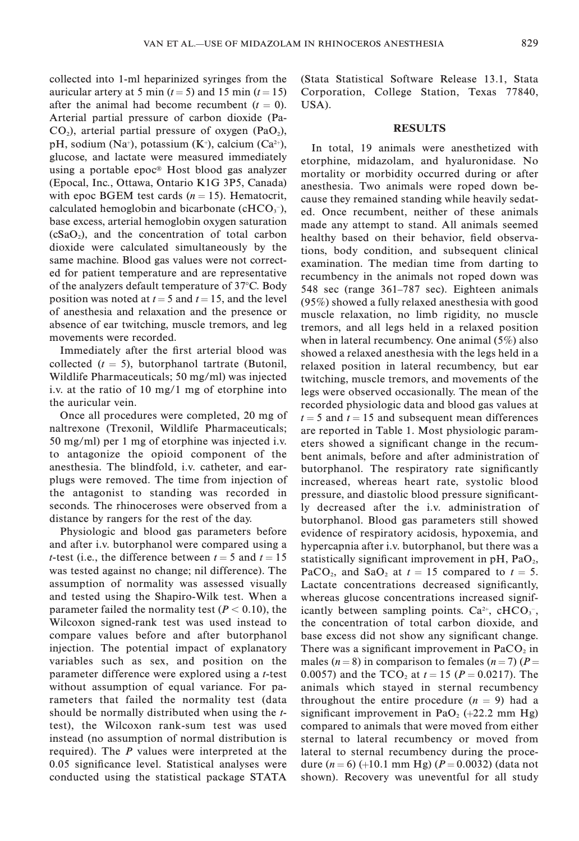collected into 1-ml heparinized syringes from the auricular artery at 5 min ( $t = 5$ ) and 15 min ( $t = 15$ ) after the animal had become recumbent  $(t = 0)$ . Arterial partial pressure of carbon dioxide (Pa- $CO<sub>2</sub>$ ), arterial partial pressure of oxygen (PaO<sub>2</sub>), pH, sodium (Na<sup>+</sup>), potassium (K<sup>+</sup>), calcium (Ca<sup>2+</sup>), glucose, and lactate were measured immediately using a portable epoc<sup>®</sup> Host blood gas analyzer (Epocal, Inc., Ottawa, Ontario K1G 3P5, Canada) with epoc BGEM test cards  $(n = 15)$ . Hematocrit, calculated hemoglobin and bicarbonate ( $cHCO<sub>3</sub>$ ), base excess, arterial hemoglobin oxygen saturation  $(cSaO<sub>2</sub>)$ , and the concentration of total carbon dioxide were calculated simultaneously by the same machine. Blood gas values were not corrected for patient temperature and are representative of the analyzers default temperature of  $37^{\circ}$ C. Body position was noted at  $t = 5$  and  $t = 15$ , and the level of anesthesia and relaxation and the presence or absence of ear twitching, muscle tremors, and leg movements were recorded.

Immediately after the first arterial blood was collected  $(t = 5)$ , butorphanol tartrate (Butonil, Wildlife Pharmaceuticals; 50 mg/ml) was injected i.v. at the ratio of 10 mg/1 mg of etorphine into the auricular vein.

Once all procedures were completed, 20 mg of naltrexone (Trexonil, Wildlife Pharmaceuticals; 50 mg/ml) per 1 mg of etorphine was injected i.v. to antagonize the opioid component of the anesthesia. The blindfold, i.v. catheter, and earplugs were removed. The time from injection of the antagonist to standing was recorded in seconds. The rhinoceroses were observed from a distance by rangers for the rest of the day.

Physiologic and blood gas parameters before and after i.v. butorphanol were compared using a *t*-test (i.e., the difference between  $t = 5$  and  $t = 15$ was tested against no change; nil difference). The assumption of normality was assessed visually and tested using the Shapiro-Wilk test. When a parameter failed the normality test ( $P < 0.10$ ), the Wilcoxon signed-rank test was used instead to compare values before and after butorphanol injection. The potential impact of explanatory variables such as sex, and position on the parameter difference were explored using a t-test without assumption of equal variance. For parameters that failed the normality test (data should be normally distributed when using the ttest), the Wilcoxon rank-sum test was used instead (no assumption of normal distribution is required). The P values were interpreted at the 0.05 significance level. Statistical analyses were conducted using the statistical package STATA (Stata Statistical Software Release 13.1, Stata Corporation, College Station, Texas 77840, USA).

# RESULTS

In total, 19 animals were anesthetized with etorphine, midazolam, and hyaluronidase. No mortality or morbidity occurred during or after anesthesia. Two animals were roped down because they remained standing while heavily sedated. Once recumbent, neither of these animals made any attempt to stand. All animals seemed healthy based on their behavior, field observations, body condition, and subsequent clinical examination. The median time from darting to recumbency in the animals not roped down was 548 sec (range 361–787 sec). Eighteen animals (95%) showed a fully relaxed anesthesia with good muscle relaxation, no limb rigidity, no muscle tremors, and all legs held in a relaxed position when in lateral recumbency. One animal (5%) also showed a relaxed anesthesia with the legs held in a relaxed position in lateral recumbency, but ear twitching, muscle tremors, and movements of the legs were observed occasionally. The mean of the recorded physiologic data and blood gas values at  $t = 5$  and  $t = 15$  and subsequent mean differences are reported in Table 1. Most physiologic parameters showed a significant change in the recumbent animals, before and after administration of butorphanol. The respiratory rate significantly increased, whereas heart rate, systolic blood pressure, and diastolic blood pressure significantly decreased after the i.v. administration of butorphanol. Blood gas parameters still showed evidence of respiratory acidosis, hypoxemia, and hypercapnia after i.v. butorphanol, but there was a statistically significant improvement in  $pH$ ,  $PaO<sub>2</sub>$ , PaCO<sub>2</sub>, and SaO<sub>2</sub> at  $t = 15$  compared to  $t = 5$ . Lactate concentrations decreased significantly, whereas glucose concentrations increased significantly between sampling points.  $Ca^{2+}$ , cHCO<sub>3</sub><sup>-</sup>, the concentration of total carbon dioxide, and base excess did not show any significant change. There was a significant improvement in  $PaCO<sub>2</sub>$  in males ( $n = 8$ ) in comparison to females ( $n = 7$ ) ( $P =$ 0.0057) and the TCO<sub>2</sub> at  $t = 15$  ( $P = 0.0217$ ). The animals which stayed in sternal recumbency throughout the entire procedure  $(n = 9)$  had a significant improvement in PaO<sub>2</sub>  $(+22.2 \text{ mm Hg})$ compared to animals that were moved from either sternal to lateral recumbency or moved from lateral to sternal recumbency during the procedure  $(n = 6)$  (+10.1 mm Hg) ( $P = 0.0032$ ) (data not shown). Recovery was uneventful for all study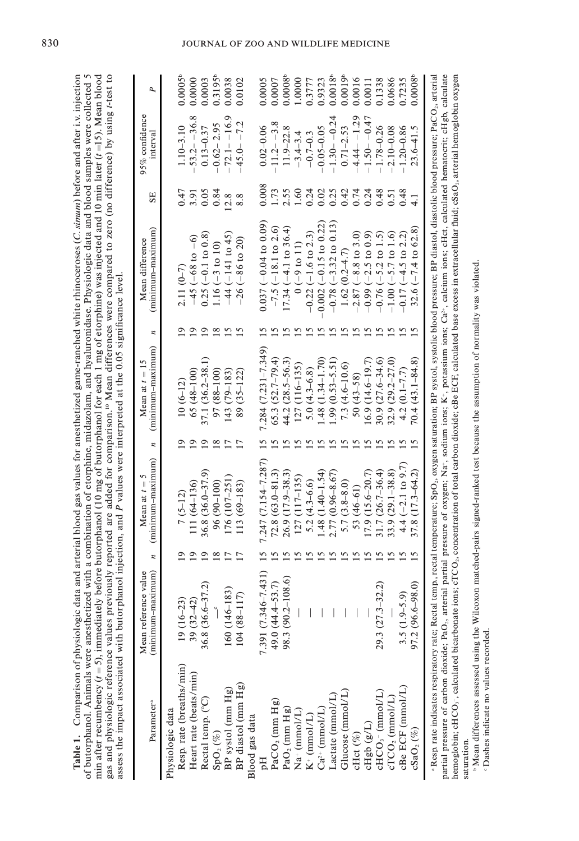| before butorphanol (10 mg of butorphanol for each 1 mg of etorphine) was injected and 10 min later $(t=15)$ . Mean blood<br>iously reported are added for comparison. <sup>10</sup> Mean differences were compared to zero (no difference) by using r-test to<br>d with a combination of etorphine, midazolam, and hyaluronidase. Physiologic data and blood samples were collected 5<br>ta and arterial blood gas values for anesthetized game-ranched white rhinoceroses (C. simum) before and after i.v. injection<br>aanol injection, and P values were interpreted at the 0.05 significance level. |  |
|---------------------------------------------------------------------------------------------------------------------------------------------------------------------------------------------------------------------------------------------------------------------------------------------------------------------------------------------------------------------------------------------------------------------------------------------------------------------------------------------------------------------------------------------------------------------------------------------------------|--|
|                                                                                                                                                                                                                                                                                                                                                                                                                                                                                                                                                                                                         |  |
|                                                                                                                                                                                                                                                                                                                                                                                                                                                                                                                                                                                                         |  |
|                                                                                                                                                                                                                                                                                                                                                                                                                                                                                                                                                                                                         |  |
|                                                                                                                                                                                                                                                                                                                                                                                                                                                                                                                                                                                                         |  |
|                                                                                                                                                                                                                                                                                                                                                                                                                                                                                                                                                                                                         |  |
|                                                                                                                                                                                                                                                                                                                                                                                                                                                                                                                                                                                                         |  |
|                                                                                                                                                                                                                                                                                                                                                                                                                                                                                                                                                                                                         |  |
|                                                                                                                                                                                                                                                                                                                                                                                                                                                                                                                                                                                                         |  |
| Table 1. Comparison of physiologic dat                                                                                                                                                                                                                                                                                                                                                                                                                                                                                                                                                                  |  |
|                                                                                                                                                                                                                                                                                                                                                                                                                                                                                                                                                                                                         |  |
| of butorphanol. Animals were anesthetized<br>gas and physiologic reference values previ<br>assess the impact associated with butorph<br>min after recumbency $(t = 5)$ , immediately                                                                                                                                                                                                                                                                                                                                                                                                                    |  |

| Parameter <sup>a</sup>                                                                                                                                       | (minimum-maximum)<br>Mean reference value | z              | (minimum-maximum)<br>Mean at $t =$ | $\overline{a}$  | (minimum-maximum)<br>Mean at $t = 15$ | n              | (minimum-maximum)<br>Mean difference | SE             | 95% confidence<br>mterval | P,                    |
|--------------------------------------------------------------------------------------------------------------------------------------------------------------|-------------------------------------------|----------------|------------------------------------|-----------------|---------------------------------------|----------------|--------------------------------------|----------------|---------------------------|-----------------------|
| Resp. rate (breaths/min)<br>Physiologic data                                                                                                                 | $19(16-23)$                               |                | $7(5-12)$                          |                 | $10(6-12)$                            |                | $2.11(0-7)$                          | 0.47           | $1.10 - 3.10$             | 0.0005                |
| Heart rate (beats/min)                                                                                                                                       | $39(32 - 42)$                             | $\overline{9}$ | 111 (64-136)                       |                 | $65(48-100)$                          |                | $-45 (-68 to -6)$                    | 3.91           | $-53.2 - -36.8$           | 0.0000                |
| Rectal temp. (°C)                                                                                                                                            | $\overline{2}$<br>36.8 (36.6–37           | $\overline{9}$ | $36.8(36.0 - 37.9)$                | ≘               | 37.1 (36.2-38.1)                      | $\overline{9}$ | $0.25 (-0.1 to 0.8)$                 | 0.05           | $0.13 - 0.37$             | 0.0003                |
| $\mathrm{SpO}_2\,(\%)$                                                                                                                                       |                                           | $\frac{8}{18}$ | $96(90-100)$                       | $\frac{8}{2}$   | $97(88 - 100)$                        | $\frac{8}{18}$ | $1.16(-3 to 10)$                     | 0.84           | $-0.62 - 2.95$            | $0.3195^{\circ}$      |
| BP systol (mm Hg)                                                                                                                                            | 160 (146-183)                             | 17             | 176 (107-251)                      |                 | 143 (79–183)                          | 15             | $-44 (-141 to 45)$                   | 12.8           | $-72.1 - 16.9$            | 0.0038                |
| BP diastol (mm Hg)                                                                                                                                           | $104(88 - 117)$                           | 17             | 113 (69-183)                       | $\overline{17}$ | 89 (35–122)                           | 15             | $-26(-86$ to 20)                     | 8.8            | $-45.0 - -7.2$            | 0.0102                |
| Blood gas data                                                                                                                                               |                                           |                |                                    |                 |                                       |                |                                      |                |                           |                       |
|                                                                                                                                                              | (151)<br>7.391 (7.346–7                   |                | 7.247 $(7.154 - 7.287)$            |                 | $7.284(7.231 - 7.349)$                |                | $0.037(-0.04 to 0.09)$               | 0.008          | $0.02 - 0.06$             | 0.0005                |
| PaCO <sub>2</sub> (mm Hg)                                                                                                                                    | 49.0 (44.4-53.7)                          |                | $72.8(63.0 - 81.3)$                |                 | $65.3(52.7-79.4)$                     |                | $-7.5$ ( $-18.1$ to 2.6)             | 1.73           | $-11.2 - -3.8$            | 0.0007                |
| PaO <sub>2</sub> (mm Hg)                                                                                                                                     | (9.8)<br>98.3 (90.2-10)                   |                | $26.9(17.9 - 38.3)$                |                 | $44.2(28.5 - 56.3)$                   |                | $(7.34 (-4.1 to 36.4))$              | 2.55           | $11.9 - 22.8$             | $0.0008^{\circ}$      |
| $Na^+$ (mmol/L)                                                                                                                                              |                                           |                | $127(117-135)$                     |                 | $127(116-135)$                        |                | $0(-9 to 11)$                        | 1,60           | $-3.4 - 3.4$              | 1.0000                |
| $K^+$ (mmol/L)                                                                                                                                               |                                           |                | $5.2(4.3 - 6.6)$                   |                 | 5.0 $(4.3 - 6.8)$                     |                | $-0.22$ ( $-1.6$ to 2.3)             | 0.24           | $-0.7 - 0.3$              | 0.3777                |
| $Ca^{2+}$ (mmol/L)                                                                                                                                           |                                           |                | $1.48(1.40 - 1.54)$                |                 | $1.48(1.34 - 1.70)$                   |                | $0.002 (-0.15 to 0.22)$              | 0.02           | $-0.05 - 0.05$            | 0.9323                |
| Lactate (mmol/L)                                                                                                                                             |                                           |                | $2.77(0.96 - 8.67)$                |                 | $.99(0.53 - 5.51)$                    |                | $-0.78$ $(-3.32$ to 0.13             | 0.25           | $-1.30 - -0.24$           | $0.0018$ <sup>t</sup> |
| Glucose (mmol/L)                                                                                                                                             |                                           |                | $5.7(3.8-8.0)$                     |                 | $7.3(4.6-10.6)$                       |                | $1.62(0.2 - 4.7)$                    | 0.42           | $0.71 - 2.53$             | 0.0019 <sup>b</sup>   |
| cHct (%)                                                                                                                                                     |                                           |                | 53 $(46-61)$                       |                 | $50(43 - 58)$                         |                | $-2.87 (-8.8 t 0.3.0)$               | 0.74           | $-4.44 - -1.29$           | 0.0016                |
| cHgb (g/L)                                                                                                                                                   |                                           |                | $(7.9(15.6-20.7))$                 |                 | $(6.9(14.6-19.7))$                    |                | $-0.99(-2.5 t)0.9$                   | $0.24$<br>0.48 | $-1.50 - -0.47$           | 0.0011                |
| cHCO <sub>3</sub> - (mmol/L)<br>cTCO <sub>2</sub> (mmol/L)                                                                                                   | $29.3(27.3-32.2)$                         |                | 31.7 (26.7-36.4)                   |                 | $30.9(27.6 - 34.6)$                   |                | $-0.76$ ( $-5.2$ to 1.5)             |                | $-1.78 - 0.26$            | 0.1338                |
|                                                                                                                                                              |                                           |                | $33.9(29.1 - 38.8)$                |                 | $32.9(29.2-27.0)$                     |                | $-1.00 (-5.7 \text{ to } 1.6)$       | 0.51           | $2.10 - 0.08$             | 0.0686                |
| cBe ECF (mmol/L)                                                                                                                                             | $3.5(1.9-5.9)$                            |                | $4.4(-2.1 \text{ to } 9.7)$        |                 | $4.2(0.1 - 7.7)$                      |                | $0.17 (-4.5 to 2.2)$                 | 0.48           | $-1.20 - 0.86$            | 0.7235                |
| $c\text{SaO}_2\left(\% \right)$                                                                                                                              | $97.2(96.6 - 98.0)$                       |                | $37.8(17.3 - 64.2)$                |                 | $70.4(43.1 - 84.8)$                   |                | $32.6 (-7.4 to 62.8)$                |                | $23.6 - 41.5$             | $0.0008^{\circ}$      |
| a Resp. rate indicates respiratory rate: Rectal temporature: SpO- oxygen saturation: RP systolic blood pressure: RP diastolic blood pressure: PaCO- arterial |                                           |                |                                    |                 |                                       |                |                                      |                |                           |                       |

 Resp. rate indicates respiratory rate; Rectal temp., rectal temperature; SpO2, oxygen saturation; BP systol, systolic blood pressure; BP diastol, diastolic blood pressure; PaCO2, arterial partial pressure of carbon dioxide; PaO<sub>2</sub>, arterial partial pressure of oxygen; Na<sup>+</sup>, sodium ions; K<sup>+</sup>, potassium ions; Ca<sup>2</sup><sub>;</sub> calculat ions; cHct, calculated hematocrit; cHgb, calculate , calculated bicarbonate ions; cTCO2, concentration of total carbon dioxide; cBe ECF, calculated base excess in extracellular fluid; cSaO2, arterial hemoglobin oxygen saturation.<br>"Mean differences assessed using the Wilcoxon matched-pairs signed-ranked test because the assumption of normality was violated. hemoglobin; c $\rm{HCO}_{3}$ saturation.

"Mean differences assessed using the Wilcoxon matched-pairs signed-ranked test because the assumption of normality was violated. · Dashes indicate no values recorded. Dashes indicate no values recorded.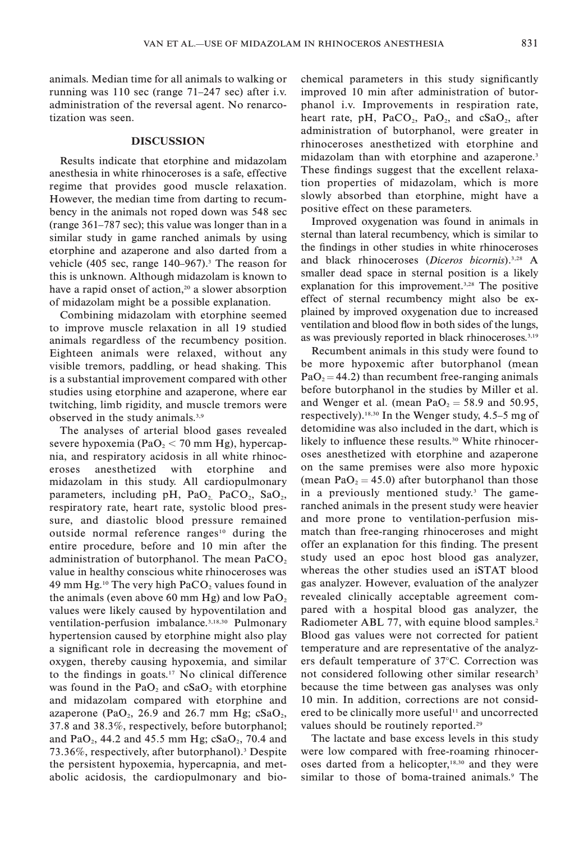animals. Median time for all animals to walking or running was 110 sec (range 71–247 sec) after i.v. administration of the reversal agent. No renarcotization was seen.

# DISCUSSION

Results indicate that etorphine and midazolam anesthesia in white rhinoceroses is a safe, effective regime that provides good muscle relaxation. However, the median time from darting to recumbency in the animals not roped down was 548 sec (range 361–787 sec); this value was longer than in a similar study in game ranched animals by using etorphine and azaperone and also darted from a vehicle (405 sec, range  $140-967$ ).<sup>3</sup> The reason for this is unknown. Although midazolam is known to have a rapid onset of action,<sup>20</sup> a slower absorption of midazolam might be a possible explanation.

Combining midazolam with etorphine seemed to improve muscle relaxation in all 19 studied animals regardless of the recumbency position. Eighteen animals were relaxed, without any visible tremors, paddling, or head shaking. This is a substantial improvement compared with other studies using etorphine and azaperone, where ear twitching, limb rigidity, and muscle tremors were observed in the study animals.3,9

The analyses of arterial blood gases revealed severe hypoxemia (PaO<sub>2</sub>  $<$  70 mm Hg), hypercapnia, and respiratory acidosis in all white rhinoceroses anesthetized with etorphine and midazolam in this study. All cardiopulmonary parameters, including pH,  $PaO<sub>2</sub>$ ,  $PaCO<sub>2</sub>$ ,  $SaO<sub>2</sub>$ , respiratory rate, heart rate, systolic blood pressure, and diastolic blood pressure remained outside normal reference ranges<sup>10</sup> during the entire procedure, before and 10 min after the administration of butorphanol. The mean  $PaCO<sub>2</sub>$ value in healthy conscious white rhinoceroses was 49 mm Hg.<sup>10</sup> The very high  $PaCO<sub>2</sub>$  values found in the animals (even above 60 mm Hg) and low  $PaO<sub>2</sub>$ values were likely caused by hypoventilation and ventilation-perfusion imbalance.3,18,30 Pulmonary hypertension caused by etorphine might also play a significant role in decreasing the movement of oxygen, thereby causing hypoxemia, and similar to the findings in goats.17 No clinical difference was found in the  $PaO<sub>2</sub>$  and  $cSaO<sub>2</sub>$  with etorphine and midazolam compared with etorphine and azaperone (PaO<sub>2</sub>, 26.9 and 26.7 mm Hg;  $cSaO<sub>2</sub>$ , 37.8 and 38.3%, respectively, before butorphanol; and PaO<sub>2</sub>, 44.2 and 45.5 mm Hg;  $cSaO<sub>2</sub>$ , 70.4 and 73.36%, respectively, after butorphanol).3 Despite the persistent hypoxemia, hypercapnia, and metabolic acidosis, the cardiopulmonary and biochemical parameters in this study significantly improved 10 min after administration of butorphanol i.v. Improvements in respiration rate, heart rate, pH,  $PaCO<sub>2</sub>$ ,  $PaO<sub>2</sub>$ , and  $cSaO<sub>2</sub>$ , after administration of butorphanol, were greater in rhinoceroses anesthetized with etorphine and midazolam than with etorphine and azaperone.<sup>3</sup> These findings suggest that the excellent relaxation properties of midazolam, which is more slowly absorbed than etorphine, might have a positive effect on these parameters.

Improved oxygenation was found in animals in sternal than lateral recumbency, which is similar to the findings in other studies in white rhinoceroses and black rhinoceroses (Diceros bicornis).3,28 A smaller dead space in sternal position is a likely explanation for this improvement.<sup>3,28</sup> The positive effect of sternal recumbency might also be explained by improved oxygenation due to increased ventilation and blood flow in both sides of the lungs, as was previously reported in black rhinoceroses.<sup>3,19</sup>

Recumbent animals in this study were found to be more hypoxemic after butorphanol (mean  $PaO<sub>2</sub> = 44.2$ ) than recumbent free-ranging animals before butorphanol in the studies by Miller et al. and Wenger et al. (mean  $PaO<sub>2</sub> = 58.9$  and 50.95, respectively).18,30 In the Wenger study, 4.5–5 mg of detomidine was also included in the dart, which is likely to influence these results.<sup>30</sup> White rhinoceroses anesthetized with etorphine and azaperone on the same premises were also more hypoxic (mean  $PaO<sub>2</sub> = 45.0$ ) after butorphanol than those in a previously mentioned study.3 The gameranched animals in the present study were heavier and more prone to ventilation-perfusion mismatch than free-ranging rhinoceroses and might offer an explanation for this finding. The present study used an epoc host blood gas analyzer, whereas the other studies used an iSTAT blood gas analyzer. However, evaluation of the analyzer revealed clinically acceptable agreement compared with a hospital blood gas analyzer, the Radiometer ABL 77, with equine blood samples.<sup>2</sup> Blood gas values were not corrected for patient temperature and are representative of the analyzers default temperature of  $37^{\circ}$ C. Correction was not considered following other similar research<sup>3</sup> because the time between gas analyses was only 10 min. In addition, corrections are not considered to be clinically more useful<sup>11</sup> and uncorrected values should be routinely reported.<sup>29</sup>

The lactate and base excess levels in this study were low compared with free-roaming rhinoceroses darted from a helicopter,<sup>18,30</sup> and they were similar to those of boma-trained animals.<sup>9</sup> The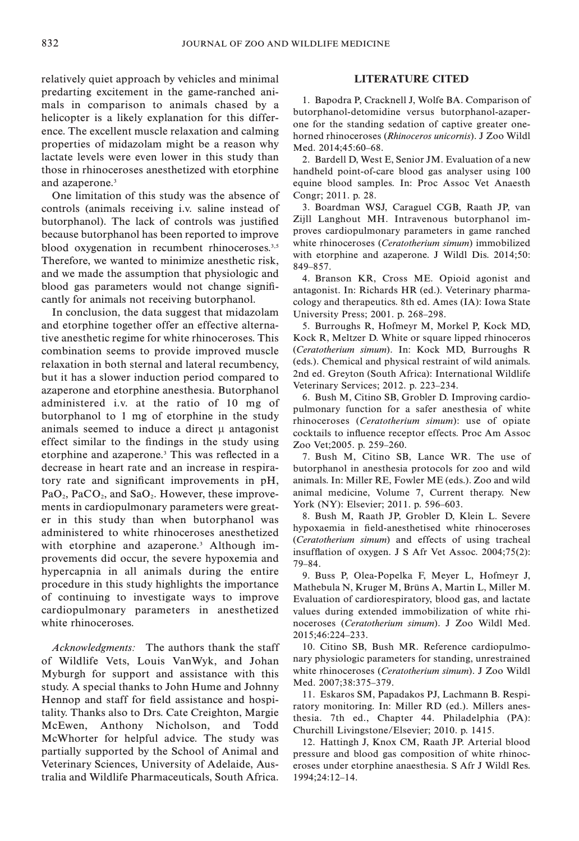relatively quiet approach by vehicles and minimal predarting excitement in the game-ranched animals in comparison to animals chased by a helicopter is a likely explanation for this difference. The excellent muscle relaxation and calming properties of midazolam might be a reason why lactate levels were even lower in this study than those in rhinoceroses anesthetized with etorphine and azaperone.<sup>3</sup>

One limitation of this study was the absence of controls (animals receiving i.v. saline instead of butorphanol). The lack of controls was justified because butorphanol has been reported to improve blood oxygenation in recumbent rhinoceroses.<sup>3,5</sup> Therefore, we wanted to minimize anesthetic risk, and we made the assumption that physiologic and blood gas parameters would not change significantly for animals not receiving butorphanol.

In conclusion, the data suggest that midazolam and etorphine together offer an effective alternative anesthetic regime for white rhinoceroses. This combination seems to provide improved muscle relaxation in both sternal and lateral recumbency, but it has a slower induction period compared to azaperone and etorphine anesthesia. Butorphanol administered i.v. at the ratio of 10 mg of butorphanol to 1 mg of etorphine in the study animals seemed to induce a direct  $\mu$  antagonist effect similar to the findings in the study using etorphine and azaperone.3 This was reflected in a decrease in heart rate and an increase in respiratory rate and significant improvements in pH,  $PaO<sub>2</sub>$ ,  $PaCO<sub>2</sub>$ , and  $SaO<sub>2</sub>$ . However, these improvements in cardiopulmonary parameters were greater in this study than when butorphanol was administered to white rhinoceroses anesthetized with etorphine and azaperone.<sup>3</sup> Although improvements did occur, the severe hypoxemia and hypercapnia in all animals during the entire procedure in this study highlights the importance of continuing to investigate ways to improve cardiopulmonary parameters in anesthetized white rhinoceroses.

Acknowledgments: The authors thank the staff of Wildlife Vets, Louis VanWyk, and Johan Myburgh for support and assistance with this study. A special thanks to John Hume and Johnny Hennop and staff for field assistance and hospitality. Thanks also to Drs. Cate Creighton, Margie McEwen, Anthony Nicholson, and Todd McWhorter for helpful advice. The study was partially supported by the School of Animal and Veterinary Sciences, University of Adelaide, Australia and Wildlife Pharmaceuticals, South Africa.

# LITERATURE CITED

1. Bapodra P, Cracknell J, Wolfe BA. Comparison of butorphanol-detomidine versus butorphanol-azaperone for the standing sedation of captive greater onehorned rhinoceroses (Rhinoceros unicornis). J Zoo Wildl Med. 2014;45:60–68.

2. Bardell D, West E, Senior JM. Evaluation of a new handheld point-of-care blood gas analyser using 100 equine blood samples. In: Proc Assoc Vet Anaesth Congr; 2011. p. 28.

3. Boardman WSJ, Caraguel CGB, Raath JP, van Zijll Langhout MH. Intravenous butorphanol improves cardiopulmonary parameters in game ranched white rhinoceroses (Ceratotherium simum) immobilized with etorphine and azaperone. J Wildl Dis. 2014;50: 849–857.

4. Branson KR, Cross ME. Opioid agonist and antagonist. In: Richards HR (ed.). Veterinary pharmacology and therapeutics. 8th ed. Ames (IA): Iowa State University Press; 2001. p. 268–298.

5. Burroughs R, Hofmeyr M, Morkel P, Kock MD, Kock R, Meltzer D. White or square lipped rhinoceros (Ceratotherium simum). In: Kock MD, Burroughs R (eds.). Chemical and physical restraint of wild animals. 2nd ed. Greyton (South Africa): International Wildlife Veterinary Services; 2012. p. 223–234.

6. Bush M, Citino SB, Grobler D. Improving cardiopulmonary function for a safer anesthesia of white rhinoceroses (Ceratotherium simum): use of opiate cocktails to influence receptor effects. Proc Am Assoc Zoo Vet;2005. p. 259–260.

7. Bush M, Citino SB, Lance WR. The use of butorphanol in anesthesia protocols for zoo and wild animals. In: Miller RE, Fowler ME (eds.). Zoo and wild animal medicine, Volume 7, Current therapy. New York (NY): Elsevier; 2011. p. 596–603.

8. Bush M, Raath JP, Grobler D, Klein L. Severe hypoxaemia in field-anesthetised white rhinoceroses (Ceratotherium simum) and effects of using tracheal insufflation of oxygen. J S Afr Vet Assoc. 2004;75(2): 79–84.

9. Buss P, Olea-Popelka F, Meyer L, Hofmeyr J, Mathebula N, Kruger M, Brüns A, Martin L, Miller M. Evaluation of cardiorespiratory, blood gas, and lactate values during extended immobilization of white rhinoceroses (Ceratotherium simum). J Zoo Wildl Med. 2015;46:224–233.

10. Citino SB, Bush MR. Reference cardiopulmonary physiologic parameters for standing, unrestrained white rhinoceroses (Ceratotherium simum). J Zoo Wildl Med. 2007;38:375–379.

11. Eskaros SM, Papadakos PJ, Lachmann B. Respiratory monitoring. In: Miller RD (ed.). Millers anesthesia. 7th ed., Chapter 44. Philadelphia (PA): Churchill Livingstone/Elsevier; 2010. p. 1415.

12. Hattingh J, Knox CM, Raath JP. Arterial blood pressure and blood gas composition of white rhinoceroses under etorphine anaesthesia. S Afr J Wildl Res. 1994;24:12–14.